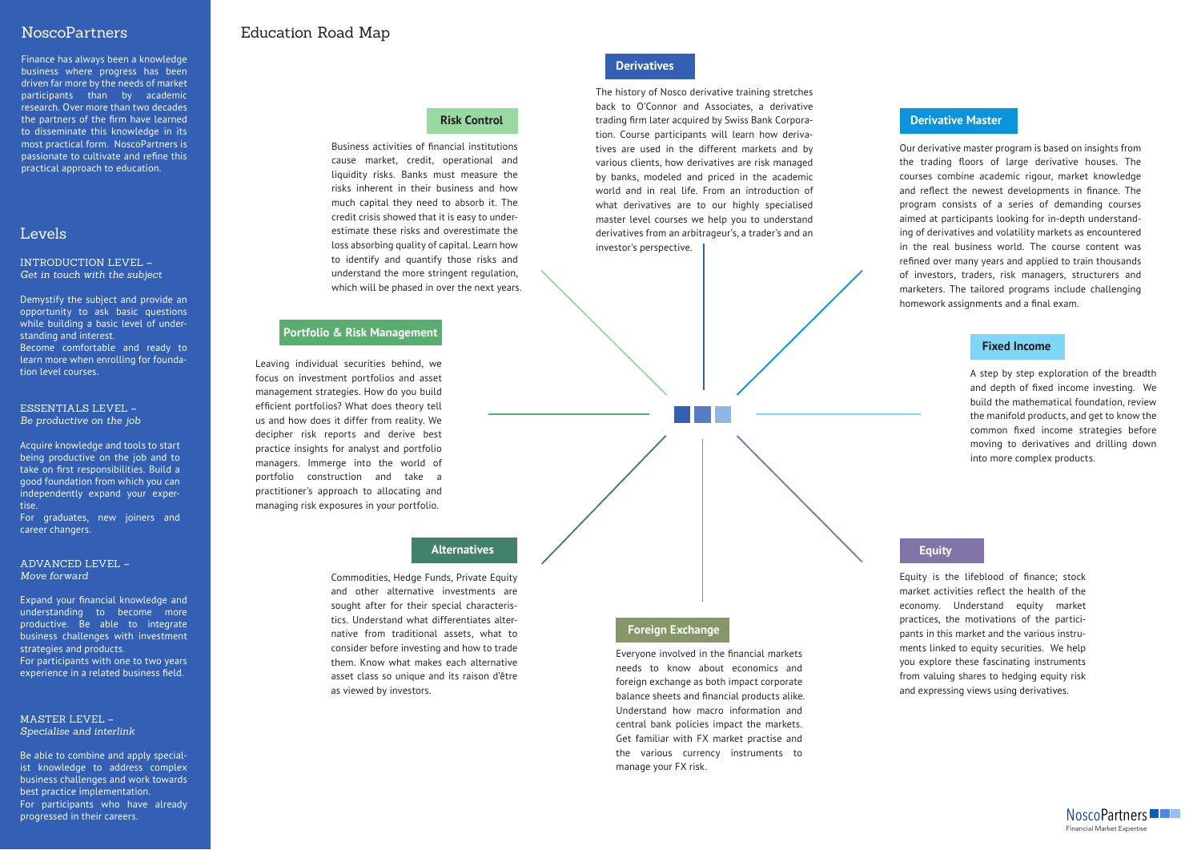#### INTRODUCTION LEVEL – *Get in touch with the subject*

Demystify the subject and provide an opportunity to ask basic questions while building a basic level of understanding and interest. Become comfortable and ready to learn more when enrolling for foundation level courses.

## NoscoPartners

Finance has always been a knowledge business where progress has been driven far more by the needs of market participants than by academic research. Over more than two decades the partners of the firm have learned to disseminate this knowledge in its most practical form. NoscoPartners is passionate to cultivate and refine this practical approach to education.

## Levels

# Education Road Map

Everyone involved in the financial markets needs to know about economics and foreign exchange as both impact corporate balance sheets and financial products alike. Understand how macro information and central bank policies impact the markets. Get familiar with FX market practise and the various currency instruments to manage your FX risk.

The history of Nosco derivative training stretches back to O'Connor and Associates, a derivative trading firm later acquired by Swiss Bank Corporation. Course participants will learn how derivatives are used in the different markets and by various clients, how derivatives are risk managed by banks, modeled and priced in the academic world and in real life. From an introduction of what derivatives are to our highly specialised master level courses we help you to understand derivatives from an arbitrageur's, a trader's and an investor's perspective.

#### ESSENTIALS LEVEL – *Be productive on the job*

Acquire knowledge and tools to start being productive on the job and to take on first responsibilities. Build a good foundation from which you can independently expand your expertise.

For graduates, new joiners and career changers.

#### ADVANCED LEVEL – *Move forward*

Expand your financial knowledge and understanding to become more productive. Be able to integrate business challenges with investment strategies and products.

For participants with one to two years experience in a related business field.

Equity is the lifeblood of finance; stock market activities reflect the health of the economy. Understand equity market practices, the motivations of the participants in this market and the various instruments linked to equity securities. We help you explore these fascinating instruments from valuing shares to hedging equity risk and expressing views using derivatives.

#### MASTER LEVEL – *Specialise and interlink*

Be able to combine and apply specialist knowledge to address complex business challenges and work towards best practice implementation. For participants who have already progressed in their careers.

Our derivative master program is based on insights from the trading floors of large derivative houses. The courses combine academic rigour, market knowledge and reflect the newest developments in finance. The program consists of a series of demanding courses aimed at participants looking for in-depth understanding of derivatives and volatility markets as encountered in the real business world. The course content was refined over many years and applied to train thousands of investors, traders, risk managers, structurers and marketers. The tailored programs include challenging homework assignments and a final exam.

## **Risk Control**

Leaving individual securities behind, we focus on investment portfolios and asset management strategies. How do you build efficient portfolios? What does theory tell us and how does it differ from reality. We decipher risk reports and derive best practice insights for analyst and portfolio managers. Immerge into the world of portfolio construction and take a practitioner's approach to allocating and managing risk exposures in your portfolio.

## **Portfolio & Risk Management**

## **Alternatives**

## **Foreign Exchange**

Commodities, Hedge Funds, Private Equity and other alternative investments are sought after for their special characteristics. Understand what differentiates alternative from traditional assets, what to consider before investing and how to trade them. Know what makes each alternative asset class so unique and its raison d'être as viewed by investors.

#### **Fixed Income**

#### **Derivative Master**

#### **Derivatives**

### **Equity**

A step by step exploration of the breadth and depth of fixed income investing. We build the mathematical foundation, review the manifold products, and get to know the common fixed income strategies before moving to derivatives and drilling down into more complex products.

Business activities of financial institutions cause market, credit, operational and liquidity risks. Banks must measure the risks inherent in their business and how much capital they need to absorb it. The credit crisis showed that it is easy to underestimate these risks and overestimate the loss absorbing quality of capital. Learn how to identify and quantify those risks and understand the more stringent regulation, which will be phased in over the next years.